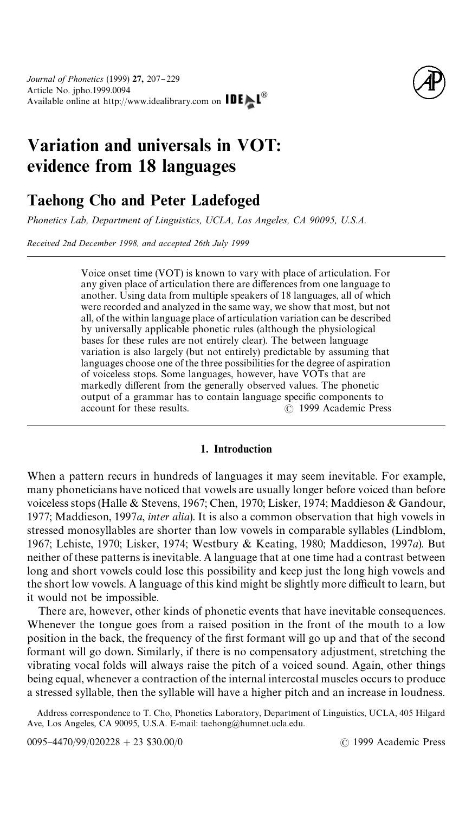

# Variation and universals in VOT: evidence from 18 languages

## Taehong Cho and Peter Ladefoged

*Phonetics Lab, Department of Linguistics, UCLA, Los Angeles, CA 90095, U.S.A.*

*Received 2nd December 1998, and accepted 26th July 1999*

Voice onset time (VOT) is known to vary with place of articulation. For any given place of articulation there are differences from one language to another. Using data from multiple speakers of 18 languages, all of which were recorded and analyzed in the same way, we show that most, but not all, of the within language place of articulation variation can be described by universally applicable phonetic rules (although the physiological bases for these rules are not entirely clear). The between language variation is also largely (but not entirely) predictable by assuming that languages choose one of the three possibilities for the degree of aspiration of voiceless stops. Some languages, however, have VOTs that are markedly different from the generally observed values. The phonetic output of a grammar has to contain language specific components to account for these results.  $\odot$  1999 Academic Pres  $\odot$  1999 Academic Press

#### 1. Introduction

When a pattern recurs in hundreds of languages it may seem inevitable. For example, many phoneticians have noticed that vowels are usually longer before voiced than before voiceless stops ([Halle & Stevens, 1967](#page-21-0); [Chen, 1970; Lisker, 1974; Maddieson & Gandour,](#page-21-0) [1977; Maddieson, 1997](#page-21-0)*a*, *inter alia*). It is also a common observation that high vowels in stressed monosyllables are shorter than low vowels in comparable syllables [\(Lindblom,](#page-21-0) [1967; Lehiste, 1970; Lisker, 1974](#page-21-0); [Westbury & Keating, 1980;](#page-22-0) [Maddieson, 1997](#page-21-0)*a*). But neither of these patterns is inevitable. A language that at one time had a contrast between long and short vowels could lose this possibility and keep just the long high vowels and the short low vowels. A language of this kind might be slightly more difficult to learn, but it would not be impossible.

There are, however, other kinds of phonetic events that have inevitable consequences. Whenever the tongue goes from a raised position in the front of the mouth to a low position in the back, the frequency of the first formant will go up and that of the second formant will go down. Similarly, if there is no compensatory adjustment, stretching the vibrating vocal folds will always raise the pitch of a voiced sound. Again, other things being equal, whenever a contraction of the internal intercostal muscles occurs to produce a stressed syllable, then the syllable will have a higher pitch and an increase in loudness.

Address correspondence to T. Cho, Phonetics Laboratory, Department of Linguistics, UCLA, 405 Hilgard Ave, Los Angeles, CA 90095, U.S.A. E-mail: taehong@humnet.ucla.edu.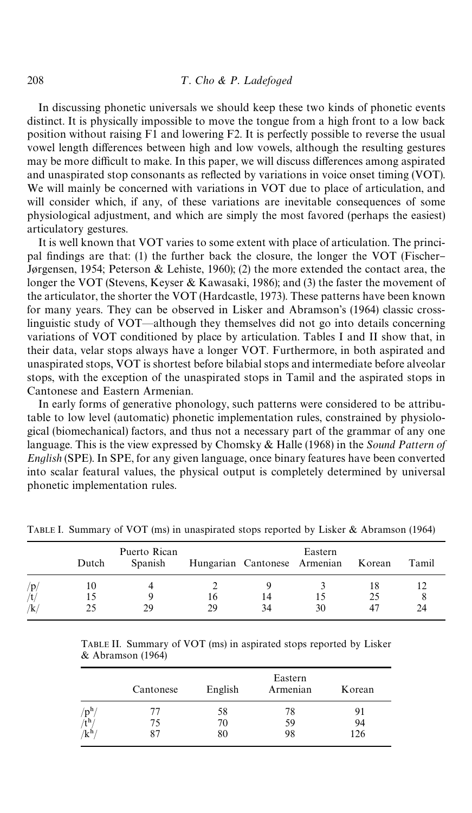In discussing phonetic universals we should keep these two kinds of phonetic events distinct. It is physically impossible to move the tongue from a high front to a low back position without raising F1 and lowering F2. It is perfectly possible to reverse the usual vowel length differences between high and low vowels, although the resulting gestures may be more difficult to make. In this paper, we will discuss differences among aspirated and unaspirated stop consonants as reflected by variations in voice onset timing (VOT). We will mainly be concerned with variations in VOT due to place of articulation, and will consider which, if any, of these variations are inevitable consequences of some physiological adjustment, and which are simply the most favored (perhaps the easiest) articulatory gestures.

It is well known that VOT varies to some extent with place of articulation. The princi-pal findings are that: (1) the further back the closure, the longer the VOT [\(Fischer](#page-21-0)Jø[rgensen, 1954;](#page-21-0) [Peterson & Lehiste, 1960\)](#page-22-0); (2) the more extended the contact area, the longer the VOT [\(Stevens, Keyser & Kawasaki, 1986\)](#page-22-0); and (3) the faster the movement of the articulator, the shorter the VOT [\(Hardcastle, 1973\)](#page-21-0). These patterns have been known for many years. They can be observed in [Lisker and Abramson](#page-21-0)'s (1964) classic crosslinguistic study of VOT—although they themselves did not go into details concerning variations of VOT conditioned by place by articulation. Tables I and II show that, in their data, velar stops always have a longer VOT. Furthermore, in both aspirated and unaspirated stops, VOT is shortest before bilabial stops and intermediate before alveolar stops, with the exception of the unaspirated stops in Tamil and the aspirated stops in Cantonese and Eastern Armenian.

In early forms of generative phonology, such patterns were considered to be attributable to low level (automatic) phonetic implementation rules, constrained by physiological (biomechanical) factors, and thus not a necessary part of the grammar of any one language. This is the view expressed by [Chomsky & Halle \(1968\)](#page-21-0) in the *Sound Pattern of English* (SPE). In SPE, for any given language, once binary features have been converted into scalar featural values, the physical output is completely determined by universal phonetic implementation rules.

|     | Dutch | Puerto Rican<br>Spanish |    | Hungarian Cantonese Armenian | Eastern | Korean | Tamil |
|-----|-------|-------------------------|----|------------------------------|---------|--------|-------|
| /p/ | 10    |                         |    |                              |         | 18     |       |
| /t. |       |                         | Iб | 14                           |         | 25     |       |
| /k  |       | 29                      | 29 | 34                           | 30      |        | 24    |

TABLE I. Summary of VOT (ms) in unaspirated stops reported by [Lisker & Abramson \(1964\)](#page-21-0)

TABLE II. Summary of VOT (ms) in aspirated stops reported by [Lisker](#page-21-0) [& Abramson \(1964\)](#page-21-0)

|                          | Cantonese | English | Eastern<br>Armenian | Korean |
|--------------------------|-----------|---------|---------------------|--------|
| $/\rm{p}^h$              | 77        | 58      | 78                  | 91     |
| $\tilde{t}$ <sup>h</sup> | 75        | 70      | 59                  | 94     |
| $/k^{h}$                 | 87        | 80      | 98                  | 126    |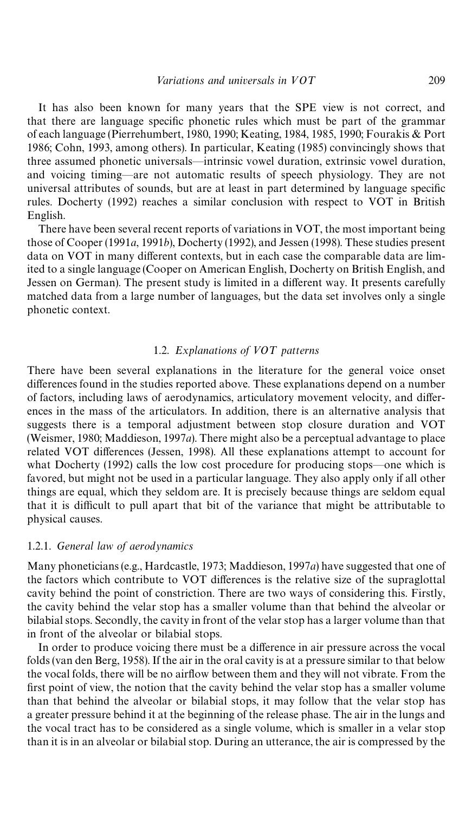It has also been known for many years that the SPE view is not correct, and that there are language specific phonetic rules which must be part of the grammar of each language [\(Pierrehumbert, 1980,](#page-22-0) [1990;](#page-22-0) [Keating, 1984, 1985,](#page-21-0) [1990; Fourakis & Port](#page-21-0) [1986; Cohn, 1993,](#page-21-0) among others). In particular, [Keating \(1985\)](#page-21-0) convincingly shows that three assumed phonetic universals—intrinsic vowel duration, extrinsic vowel duration, and voicing timing—are not automatic results of speech physiology. They are not universal attributes of sounds, but are at least in part determined by language specific rules. [Docherty \(1992\)](#page-21-0) reaches a similar conclusion with respect to VOT in British English.

There have been several recent reports of variations in VOT, the most important being those of [Cooper \(1991](#page-21-0)*a*, [1991](#page-21-0)*b*), [Docherty \(1992\)](#page-21-0), and [Jessen \(1998\)](#page-21-0). These studies present data on VOT in many different contexts, but in each case the comparable data are limited to a single language (Cooper on American English, Docherty on British English, and Jessen on German). The present study is limited in a different way. It presents carefully matched data from a large number of languages, but the data set involves only a single phonetic context.

#### 1.2. Explanations of VOT patterns

There have been several explanations in the literature for the general voice onset differences found in the studies reported above. These explanations depend on a number of factors, including laws of aerodynamics, articulatory movement velocity, and differences in the mass of the articulators. In addition, there is an alternative analysis that suggests there is a temporal adjustment between stop closure duration and VOT ([Weismer, 1980](#page-22-0); [Maddieson, 1997](#page-21-0)*a*). There might also be a perceptual advantage to place related VOT differences [\(Jessen, 1998\)](#page-21-0). All these explanations attempt to account for what Docherty  $(1992)$  calls the low cost procedure for producing stops—one which is favored, but might not be used in a particular language. They also apply only if all other things are equal, which they seldom are. It is precisely because things are seldom equal that it is difficult to pull apart that bit of the variance that might be attributable to physical causes.

#### 1.2.1. *General law of aerodynamics*

Many phoneticians (e.g., [Hardcastle, 1973](#page-21-0); [Maddieson, 1997](#page-21-0)*a*) have suggested that one of the factors which contribute to VOT differences is the relative size of the supraglottal cavity behind the point of constriction. There are two ways of considering this. Firstly, the cavity behind the velar stop has a smaller volume than that behind the alveolar or bilabial stops. Secondly, the cavity in front of the velar stop has a larger volume than that in front of the alveolar or bilabial stops.

In order to produce voicing there must be a difference in air pressure across the vocal folds [\(van den Berg, 1958\)](#page-20-0). If the air in the oral cavity is at a pressure similar to that below the vocal folds, there will be no airflow between them and they will not vibrate. From the first point of view, the notion that the cavity behind the velar stop has a smaller volume than that behind the alveolar or bilabial stops, it may follow that the velar stop has a greater pressure behind it at the beginning of the release phase. The air in the lungs and the vocal tract has to be considered as a single volume, which is smaller in a velar stop than it is in an alveolar or bilabial stop. During an utterance, the air is compressed by the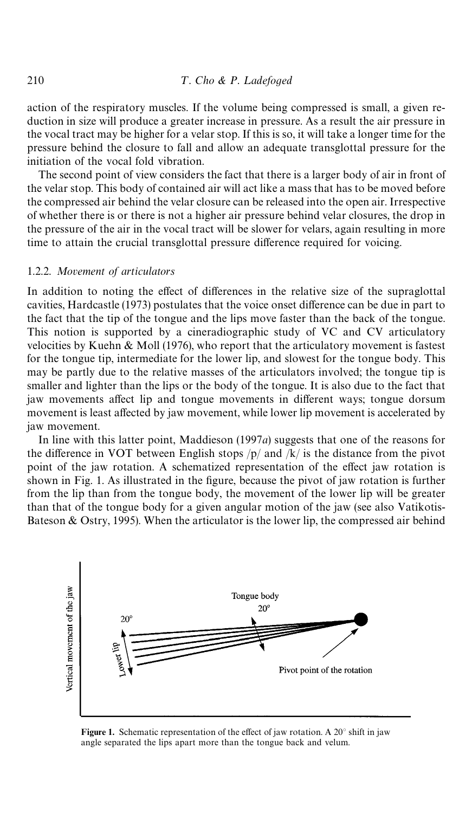action of the respiratory muscles. If the volume being compressed is small, a given reduction in size will produce a greater increase in pressure. As a result the air pressure in the vocal tract may be higher for a velar stop. If this is so, it will take a longer time for the pressure behind the closure to fall and allow an adequate transglottal pressure for the initiation of the vocal fold vibration.

The second point of view considers the fact that there is a larger body of air in front of the velar stop. This body of contained air will act like a mass that has to be moved before the compressed air behind the velar closure can be released into the open air. Irrespective of whether there is or there is not a higher air pressure behind velar closures, the drop in the pressure of the air in the vocal tract will be slower for velars, again resulting in more time to attain the crucial transglottal pressure difference required for voicing.

#### 1.2.2. *Movement of articulators*

In addition to noting the effect of differences in the relative size of the supraglottal cavities[, Hardcastle \(1973\)](#page-21-0) postulates that the voice onset difference can be due in part to the fact that the tip of the tongue and the lips move faster than the back of the tongue. This notion is supported by a cineradiographic study of VC and CV articulatory velocities by [Kuehn & Moll \(1976\)](#page-21-0), who report that the articulatory movement is fastest for the tongue tip, intermediate for the lower lip, and slowest for the tongue body. This may be partly due to the relative masses of the articulators involved; the tongue tip is smaller and lighter than the lips or the body of the tongue. It is also due to the fact that jaw movements affect lip and tongue movements in different ways; tongue dorsum movement is least affected by jaw movement, while lower lip movement is accelerated by jaw movement.

In line with this latter point, [Maddieson \(1997](#page-21-0)*a*) suggests that one of the reasons for the difference in VOT between English stops  $/p/$  and  $/k/$  is the distance from the pivot point of the jaw rotation. A schematized representation of the effect jaw rotation is shown in Fig. 1. As illustrated in the figure, because the pivot of jaw rotation is further from the lip than from the tongue body, the movement of the lower lip will be greater than that of the tongue body for a given angular motion of the jaw (see als[o Vatikotis-](#page-22-0)Bateson  $\&$  Ostry, 1995). When the articulator is the lower lip, the compressed air behind



Figure 1. Schematic representation of the effect of jaw rotation. A  $20^{\circ}$  shift in jaw angle separated the lips apart more than the tongue back and velum.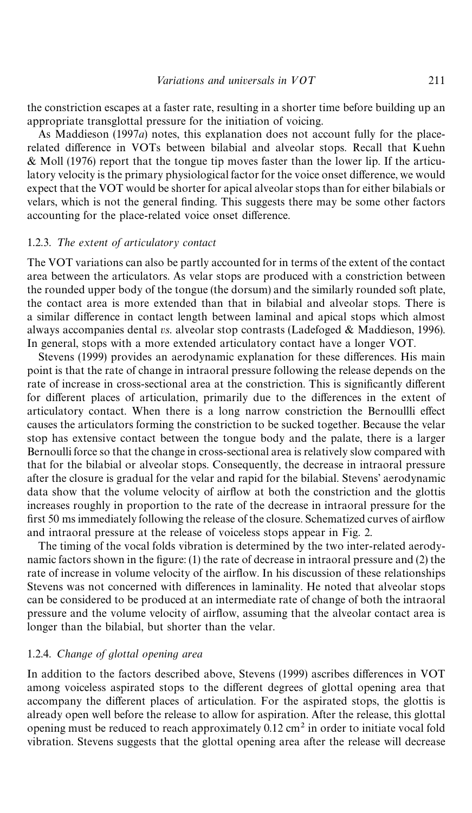the constriction escapes at a faster rate, resulting in a shorter time before building up an appropriate transglottal pressure for the initiation of voicing.

As [Maddieson \(1997](#page-21-0)*a*) notes, this explanation does not account fully for the place-related difference in VOTs between bilabial and alveolar stops. Recall that [Kuehn](#page-21-0) [& Moll \(1976\)](#page-21-0) report that the tongue tip moves faster than the lower lip. If the articulatory velocity is the primary physiological factor for the voice onset difference, we would expect that the VOT would be shorter for apical alveolar stops than for either bilabials or velars, which is not the general finding. This suggests there may be some other factors accounting for the place-related voice onset difference.

#### 1.2.3. The extent of articulatory contact

The VOT variations can also be partly accounted for in terms of the extent of the contact area between the articulators. As velar stops are produced with a constriction between the rounded upper body of the tongue (the dorsum) and the similarly rounded soft plate, the contact area is more extended than that in bilabial and alveolar stops. There is a similar difference in contact length between laminal and apical stops which almost always accompanies dental *vs*. alveolar stop contrasts [\(Ladefoged & Maddieson, 1996\)](#page-21-0). In general, stops with a more extended articulatory contact have a longer VOT.

[Stevens \(1999\)](#page-22-0) provides an aerodynamic explanation for these differences. His main point is that the rate of change in intraoral pressure following the release depends on the rate of increase in cross-sectional area at the constriction. This is significantly different for different places of articulation, primarily due to the differences in the extent of articulatory contact. When there is a long narrow constriction the Bernoullli effect causes the articulators forming the constriction to be sucked together. Because the velar stop has extensive contact between the tongue body and the palate, there is a larger Bernoulli force so that the change in cross-sectional area is relatively slow compared with that for the bilabial or alveolar stops. Consequently, the decrease in intraoral pressure after the closure is gradual for the velar and rapid for the bilabial. Stevens' aerodynamic data show that the volume velocity of airflow at both the constriction and the glottis increases roughly in proportion to the rate of the decrease in intraoral pressure for the first 50 ms immediately following the release of the closure. Schematized curves of airflow and intraoral pressure at the release of voiceless stops appear in [Fig. 2.](#page-5-0)

The timing of the vocal folds vibration is determined by the two inter-related aerodynamic factors shown in the figure:  $(1)$  the rate of decrease in intraoral pressure and  $(2)$  the rate of increase in volume velocity of the airflow. In his discussion of these relationships Stevens was not concerned with differences in laminality. He noted that alveolar stops can be considered to be produced at an intermediate rate of change of both the intraoral pressure and the volume velocity of air#ow, assuming that the alveolar contact area is longer than the bilabial, but shorter than the velar.

#### 1.2.4. *Change of glottal opening area*

In addition to the factors described above, [Stevens \(1999\)](#page-22-0) ascribes differences in VOT among voiceless aspirated stops to the different degrees of glottal opening area that accompany the different places of articulation. For the aspirated stops, the glottis is already open well before the release to allow for aspiration. After the release, this glottal opening must be reduced to reach approximately  $0.12 \text{ cm}^2$  in order to initiate vocal fold vibration. Stevens suggests that the glottal opening area after the release will decrease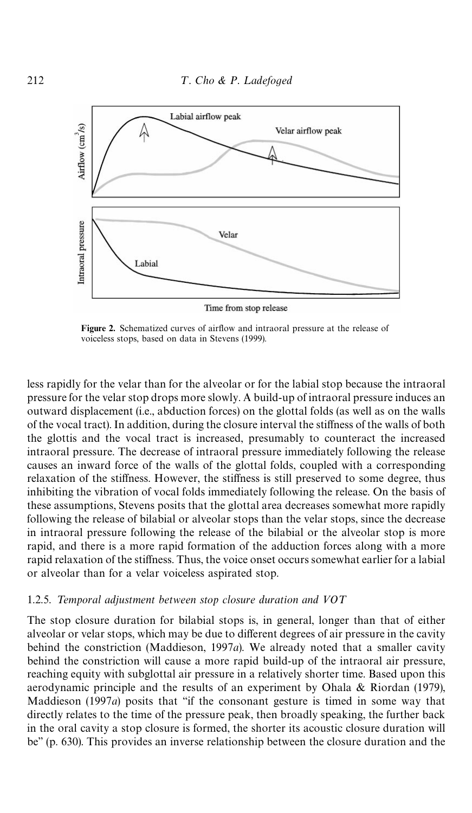<span id="page-5-0"></span>

Figure 2. Schematized curves of airflow and intraoral pressure at the release of

voiceless stops, based on data in [Stevens \(1999\)](#page-22-0).

less rapidly for the velar than for the alveolar or for the labial stop because the intraoral pressure for the velar stop drops more slowly. A build-up of intraoral pressure induces an outward displacement (i.e., abduction forces) on the glottal folds (as well as on the walls of the vocal tract). In addition, during the closure interval the stiffness of the walls of both the glottis and the vocal tract is increased, presumably to counteract the increased intraoral pressure. The decrease of intraoral pressure immediately following the release causes an inward force of the walls of the glottal folds, coupled with a corresponding relaxation of the stiffness. However, the stiffness is still preserved to some degree, thus inhibiting the vibration of vocal folds immediately following the release. On the basis of these assumptions, Stevens posits that the glottal area decreases somewhat more rapidly following the release of bilabial or alveolar stops than the velar stops, since the decrease in intraoral pressure following the release of the bilabial or the alveolar stop is more rapid, and there is a more rapid formation of the adduction forces along with a more rapid relaxation of the stiffness. Thus, the voice onset occurs somewhat earlier for a labial or alveolar than for a velar voiceless aspirated stop.

#### 1.2.5. Temporal adjustment between stop closure duration and  $VOT$

The stop closure duration for bilabial stops is, in general, longer than that of either alveolar or velar stops, which may be due to different degrees of air pressure in the cavity behind the constriction [\(Maddieson, 1997](#page-21-0)*a*). We already noted that a smaller cavity behind the constriction will cause a more rapid build-up of the intraoral air pressure, reaching equity with subglottal air pressure in a relatively shorter time. Based upon this aerodynamic principle and the results of an experiment by [Ohala & Riordan \(1979\)](#page-22-0), Maddieson  $(1997a)$  posits that "if the consonant gesture is timed in some way that directly relates to the time of the pressure peak, then broadly speaking, the further back in the oral cavity a stop closure is formed, the shorter its acoustic closure duration will be'' (p. 630). This provides an inverse relationship between the closure duration and the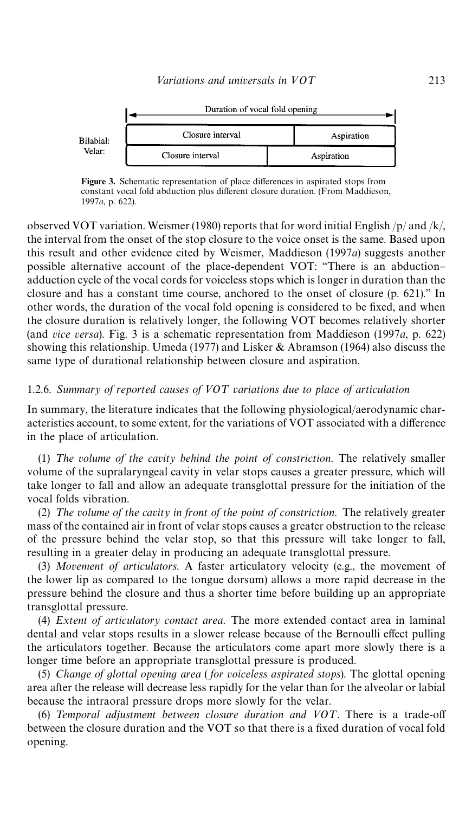

Figure 3. Schematic representation of place differences in aspirated stops from constant vocal fold abduction plus different closure duration. (From [Maddieson,](#page-21-0) [1997](#page-21-0)*a*, p. 622).

observed VOT variation[. Weismer \(1980\)](#page-22-0) reports that for word initial English  $/p$  and  $/k$ , the interval from the onset of the stop closure to the voice onset is the same. Based upon this result and other evidence cited by Weismer, [Maddieson \(1997](#page-21-0)*a*) suggests another possible alternative account of the place-dependent VOT: "There is an abductionadduction cycle of the vocal cords for voiceless stops which is longer in duration than the closure and has a constant time course, anchored to the onset of closure (p. 621).'' In other words, the duration of the vocal fold opening is considered to be fixed, and when the closure duration is relatively longer, the following VOT becomes relatively shorter (and *vice versa*). Fig. 3 is a schematic representation from [Maddieson \(1997](#page-21-0)*a*, p. 622) showing this relationship. [Umeda \(1977\)](#page-22-0) and [Lisker & Abramson \(1964\)](#page-21-0) also discuss the same type of durational relationship between closure and aspiration.

#### 1.2.6. Summary of reported causes of VOT variations due to place of articulation

In summary, the literature indicates that the following physiological/aerodynamic characteristics account, to some extent, for the variations of VOT associated with a difference in the place of articulation.

 $(1)$  *The volume of the cavity behind the point of constriction*. The relatively smaller volume of the supralaryngeal cavity in velar stops causes a greater pressure, which will take longer to fall and allow an adequate transglottal pressure for the initiation of the vocal folds vibration.

(2) The volume of the cavity in front of the point of constriction. The relatively greater mass of the contained air in front of velar stops causes a greater obstruction to the release of the pressure behind the velar stop, so that this pressure will take longer to fall, resulting in a greater delay in producing an adequate transglottal pressure.

(3) *Movement of articulators*. A faster articulatory velocity (e.g., the movement of the lower lip as compared to the tongue dorsum) allows a more rapid decrease in the pressure behind the closure and thus a shorter time before building up an appropriate transglottal pressure.

(4) *Extent of articulatory contact area*. The more extended contact area in laminal dental and velar stops results in a slower release because of the Bernoulli effect pulling the articulators together. Because the articulators come apart more slowly there is a longer time before an appropriate transglottal pressure is produced.

(5) *Change of glottal opening area* ( *for voiceless aspirated stops*). The glottal opening area after the release will decrease less rapidly for the velar than for the alveolar or labial because the intraoral pressure drops more slowly for the velar.

(6) Temporal adjustment between closure duration and VOT. There is a trade-off between the closure duration and the VOT so that there is a fixed duration of vocal fold opening.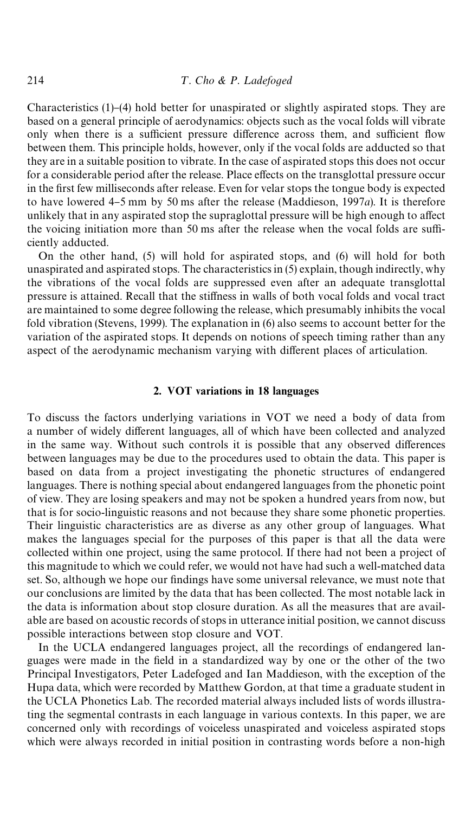Characteristics  $(1)$ – $(4)$  hold better for unaspirated or slightly aspirated stops. They are based on a general principle of aerodynamics: objects such as the vocal folds will vibrate only when there is a sufficient pressure difference across them, and sufficient flow between them. This principle holds, however, only if the vocal folds are adducted so that they are in a suitable position to vibrate. In the case of aspirated stops this does not occur for a considerable period after the release. Place effects on the transglottal pressure occur in the first few milliseconds after release. Even for velar stops the tongue body is expected to have lowered 4–5 mm by 50 ms after the release [\(Maddieson, 1997](#page-21-0)*a*). It is therefore unlikely that in any aspirated stop the supraglottal pressure will be high enough to affect the voicing initiation more than 50 ms after the release when the vocal folds are sufficiently adducted.

On the other hand, (5) will hold for aspirated stops, and (6) will hold for both unaspirated and aspirated stops. The characteristics in (5) explain, though indirectly, why the vibrations of the vocal folds are suppressed even after an adequate transglottal pressure is attained. Recall that the stiffness in walls of both vocal folds and vocal tract are maintained to some degree following the release, which presumably inhibits the vocal fold vibration [\(Stevens, 1999](#page-22-0)). The explanation in (6) also seems to account better for the variation of the aspirated stops. It depends on notions of speech timing rather than any aspect of the aerodynamic mechanism varying with different places of articulation.

#### 2. VOT variations in 18 languages

To discuss the factors underlying variations in VOT we need a body of data from a number of widely different languages, all of which have been collected and analyzed in the same way. Without such controls it is possible that any observed differences between languages may be due to the procedures used to obtain the data. This paper is based on data from a project investigating the phonetic structures of endangered languages. There is nothing special about endangered languages from the phonetic point of view. They are losing speakers and may not be spoken a hundred years from now, but that is for socio-linguistic reasons and not because they share some phonetic properties. Their linguistic characteristics are as diverse as any other group of languages. What makes the languages special for the purposes of this paper is that all the data were collected within one project, using the same protocol. If there had not been a project of this magnitude to which we could refer, we would not have had such a well-matched data set. So, although we hope our findings have some universal relevance, we must note that our conclusions are limited by the data that has been collected. The most notable lack in the data is information about stop closure duration. As all the measures that are available are based on acoustic records of stops in utterance initial position, we cannot discuss possible interactions between stop closure and VOT.

In the UCLA endangered languages project, all the recordings of endangered languages were made in the field in a standardized way by one or the other of the two Principal Investigators, Peter Ladefoged and Ian Maddieson, with the exception of the Hupa data, which were recorded by Matthew Gordon, at that time a graduate student in the UCLA Phonetics Lab. The recorded material always included lists of words illustrating the segmental contrasts in each language in various contexts. In this paper, we are concerned only with recordings of voiceless unaspirated and voiceless aspirated stops which were always recorded in initial position in contrasting words before a non-high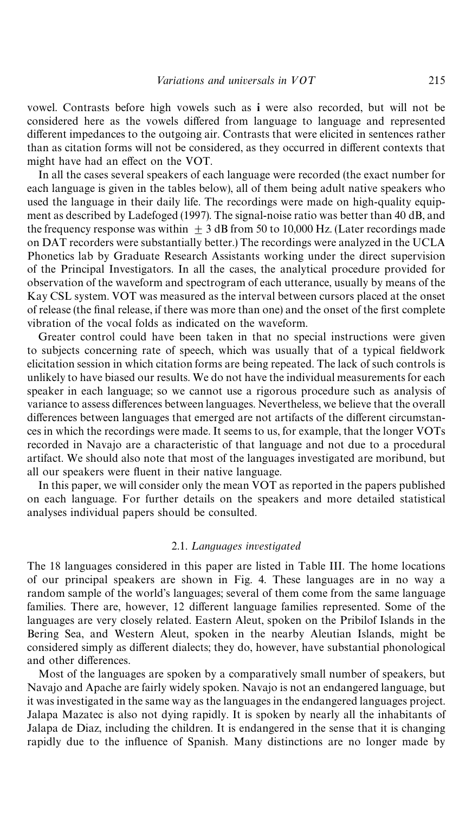vowel. Contrasts before high vowels such as i were also recorded, but will not be considered here as the vowels differed from language to language and represented different impedances to the outgoing air. Contrasts that were elicited in sentences rather than as citation forms will not be considered, as they occurred in different contexts that might have had an effect on the VOT.

In all the cases several speakers of each language were recorded (the exact number for each language is given in the tables below), all of them being adult native speakers who used the language in their daily life. The recordings were made on high-quality equipment as described b[y Ladefoged \(1997\).](#page-21-0) The signal-noise ratio was better than 40 dB, and the frequency response was within  $\pm$  3 dB from 50 to 10,000 Hz. (Later recordings made on DAT recorders were substantially better.) The recordings were analyzed in the UCLA Phonetics lab by Graduate Research Assistants working under the direct supervision of the Principal Investigators. In all the cases, the analytical procedure provided for observation of the waveform and spectrogram of each utterance, usually by means of the Kay CSL system. VOT was measured as the interval between cursors placed at the onset of release (the final release, if there was more than one) and the onset of the first complete vibration of the vocal folds as indicated on the waveform.

Greater control could have been taken in that no special instructions were given to subjects concerning rate of speech, which was usually that of a typical fieldwork elicitation session in which citation forms are being repeated. The lack of such controls is unlikely to have biased our results. We do not have the individual measurements for each speaker in each language; so we cannot use a rigorous procedure such as analysis of variance to assess differences between languages. Nevertheless, we believe that the overall differences between languages that emerged are not artifacts of the different circumstances in which the recordings were made. It seems to us, for example, that the longer VOTs recorded in Navajo are a characteristic of that language and not due to a procedural artifact. We should also note that most of the languages investigated are moribund, but all our speakers were fluent in their native language.

In this paper, we will consider only the mean VOT as reported in the papers published on each language. For further details on the speakers and more detailed statistical analyses individual papers should be consulted.

#### 2.1. Languages investigated

The 18 languages considered in this paper are listed in [Table III.](#page-9-0) The home locations of our principal speakers are shown in [Fig. 4.](#page-11-0) These languages are in no way a random sample of the world's languages; several of them come from the same language families. There are, however, 12 different language families represented. Some of the languages are very closely related. Eastern Aleut, spoken on the Pribilof Islands in the Bering Sea, and Western Aleut, spoken in the nearby Aleutian Islands, might be considered simply as different dialects; they do, however, have substantial phonological and other differences.

Most of the languages are spoken by a comparatively small number of speakers, but Navajo and Apache are fairly widely spoken. Navajo is not an endangered language, but it was investigated in the same way as the languages in the endangered languages project. Jalapa Mazatec is also not dying rapidly. It is spoken by nearly all the inhabitants of Jalapa de Diaz, including the children. It is endangered in the sense that it is changing rapidly due to the influence of Spanish. Many distinctions are no longer made by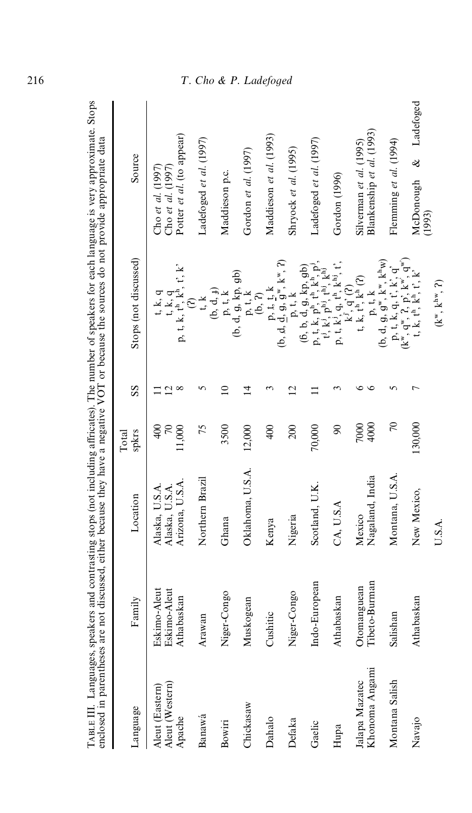|                                              |                                            |                                                     |                           |                 |                                                                                                                                                                                                                                                                                                                                                                                                                                                                                               | TABLE III. Languages, speakers and contrasting stops (not including affricates). The number of speakers for each language is very approximate. Stops<br>enclosed in parentheses are not discussed, either because they have a neg |
|----------------------------------------------|--------------------------------------------|-----------------------------------------------------|---------------------------|-----------------|-----------------------------------------------------------------------------------------------------------------------------------------------------------------------------------------------------------------------------------------------------------------------------------------------------------------------------------------------------------------------------------------------------------------------------------------------------------------------------------------------|-----------------------------------------------------------------------------------------------------------------------------------------------------------------------------------------------------------------------------------|
| Language                                     | Family                                     | Location                                            | spkrs<br>Total            | SS              | Stops (not discussed)                                                                                                                                                                                                                                                                                                                                                                                                                                                                         | Source                                                                                                                                                                                                                            |
| Aleut (Eastern)<br>Aleut (Western)<br>Apache | Eskimo-Aleut<br>Eskimo-Aleut<br>Athabaskan | Arizona, U.S.A.<br>Alaska, U.S.A.<br>Alaska, U.S.A. | 11,000<br>$\frac{400}{2}$ | $\sim \infty$   | $\label{eq:3.1} \begin{array}{l} t,k,q\\ p,t,k,t^h,k^h,t^h\\ \end{array}$<br>t, k, q                                                                                                                                                                                                                                                                                                                                                                                                          | Potter et al. (to appear)<br>Cho et al. (1997)<br>Cho et al. $(1997)$                                                                                                                                                             |
| Banawá                                       | Arawan                                     | Northern Brazil                                     | 75                        | n               | t, k                                                                                                                                                                                                                                                                                                                                                                                                                                                                                          | Ladefoged et al. (1997)                                                                                                                                                                                                           |
| Bowiri                                       | 1go<br>Niger-Cor                           | Ghana                                               | 3500                      | $\Xi$           | (b, d, f)<br>${\bf p},$ t, ${\bf k}$                                                                                                                                                                                                                                                                                                                                                                                                                                                          | Maddieson p.c.                                                                                                                                                                                                                    |
| Chickasaw                                    | Muskogean                                  | Oklahoma, U.S.A.                                    | 12,000                    | $\overline{4}$  | $(b, d, g, kp, gb)$<br>$p, t, k$                                                                                                                                                                                                                                                                                                                                                                                                                                                              | Gordon et al. (1997)                                                                                                                                                                                                              |
| Dahalo                                       | Cushitic                                   | Kenya                                               | 400                       |                 | (b, 2)                                                                                                                                                                                                                                                                                                                                                                                                                                                                                        | Maddieson et al. (1993)                                                                                                                                                                                                           |
| Defaka                                       | 6gi<br>Niger-Cor                           | Nigeria                                             | 200                       | $\overline{12}$ | (b, d, d, g, g, k, r)<br>(c, d, d, g, g, k, r)<br>(c, p, t, k                                                                                                                                                                                                                                                                                                                                                                                                                                 | Shryock et al. (1995)                                                                                                                                                                                                             |
| Gaelic                                       | Indo-European                              | Scotland, U.K                                       | 70,000                    |                 | $\begin{array}{c} (6,\, b,\, \mathrm{d}, g,\, \mathrm{kp},\, g\mathrm{b})\\ p,\, t,\, k,\, p^{\mathrm{h}},\, t^{\mathrm{h}},\, k^{\mathrm{h}},\, p^{\mathrm{j}},\\ t^{\mathrm{j}},\, k^{\mathrm{j}},\, p^{\mathrm{h}\mathrm{j}},\, t^{\mathrm{i}\mathrm{j}},\, k^{\mathrm{h}\mathrm{j}}\\ p,\, t,\, k^{\mathrm{j}},\, q,\, t^{\mathrm{h}},\, k^{\mathrm{h}\mathrm{j}},\, t,\\ k^{\mathrm{j}},\, q^{\mathrm{s}},\, t^{\mathrm{s}},\, t^{\mathrm{s}},\\ t,\, k,\, t^{\mathrm{h}},\, k^{\mathrm$ | Ladefoged et al. (1997)                                                                                                                                                                                                           |
| Hupa                                         | Athabaskan                                 | CA, U.S.A                                           | $\infty$                  |                 |                                                                                                                                                                                                                                                                                                                                                                                                                                                                                               | Gordon (1996)                                                                                                                                                                                                                     |
| Khonoma Angami<br>Jalapa Mazatec             | Tibeto-Burman<br>Otomanguean               | Nagaland, India<br>Mexico                           | 4000<br>7000              | $\circ$<br>७    | p, t, k                                                                                                                                                                                                                                                                                                                                                                                                                                                                                       | Blankenship et al. (1993)<br>Silverman et al. $(1995)$                                                                                                                                                                            |
| Montana Salish                               | Salishan                                   | Montana, U.S.A.                                     | $\overline{C}$            | $\Omega$        | $(b, d, g, g", k", k^h w)$                                                                                                                                                                                                                                                                                                                                                                                                                                                                    | Flemming et al. (1994)                                                                                                                                                                                                            |
| Navajo                                       | Athabaskan                                 | New Mexico,                                         | 130,000                   |                 | $\begin{array}{c} p, t, k, q, t', k', q'\\ (k'', q'', 2, p', k''', q''')\\ t, k, t^h, k^h, t', k' \end{array}$                                                                                                                                                                                                                                                                                                                                                                                | & Ladefoged<br>McDonough                                                                                                                                                                                                          |
|                                              |                                            | U.S.A.                                              |                           |                 | $(k^w, k^{hw}, 2)$                                                                                                                                                                                                                                                                                                                                                                                                                                                                            | (1993)                                                                                                                                                                                                                            |

 $\text{TaR}$  FILE 1 anonages, speakers and contrasting stops (not including affricates). The number of speakers for each language is very approximate. Stops

<span id="page-9-0"></span>216

### T. Cho & P. Ladefoged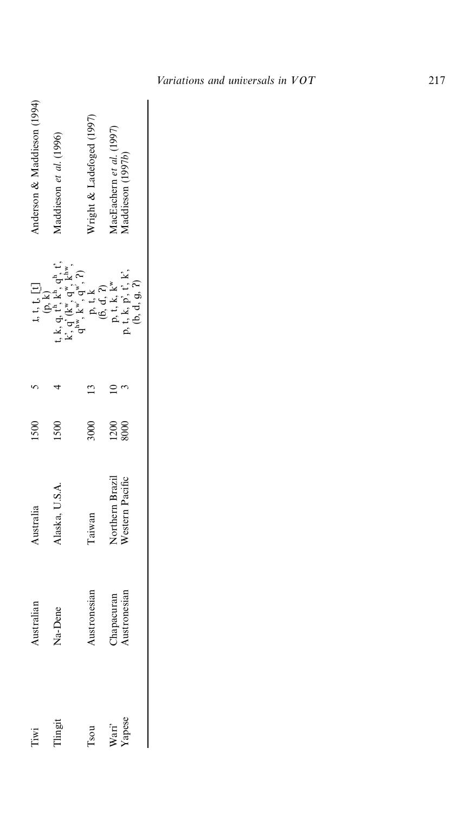| Anderson & Maddieson (1994) | Maddieson et al. (1996)                                                                                                                                                                                                                                                                                                                                                                                                                            | Nright & Ladefoged (1997) | AacEachern et al. (1997)<br>Aaddieson (1997b) |                            |
|-----------------------------|----------------------------------------------------------------------------------------------------------------------------------------------------------------------------------------------------------------------------------------------------------------------------------------------------------------------------------------------------------------------------------------------------------------------------------------------------|---------------------------|-----------------------------------------------|----------------------------|
|                             | $\begin{array}{c} \text{t, } \text{t, t, t}, \text{t, t} \\ \text{t, k, q}, \text{t}^{\text{h}, \text{t}, \text{t}}_{\text{r}}, \text{q}^{\text{h}}_{\text{r}}, \text{t}, \\ \text{k', q}, \text{t}^{\text{h}, \text{t}, \text{t}}, \text{q}^{\text{w}}, \text{k}^{\text{hw}}, \\ \text{q}^{\text{hw}}, \text{k}^{\text{w}}, \text{q}^{\text{w}}, \text{q}^{\text{w}}, \text{P} \\ \text{p}, \text{t, k} \\ \text{(6, d, 2)} \\ \text{p}, \text{t$ |                           |                                               |                            |
|                             |                                                                                                                                                                                                                                                                                                                                                                                                                                                    |                           |                                               |                            |
| 1500                        | 1500                                                                                                                                                                                                                                                                                                                                                                                                                                               | 3000                      | 1200<br>8000                                  |                            |
| ustralia                    | Jaska, U.S.A                                                                                                                                                                                                                                                                                                                                                                                                                                       | Taiwan                    | Northern Brazil<br>Western Pacific            |                            |
| Australian                  | Na-Dene                                                                                                                                                                                                                                                                                                                                                                                                                                            | <b>Lustronesian</b>       |                                               | Chapacuran<br>Austronesian |
| Tiwi                        | Tlingit                                                                                                                                                                                                                                                                                                                                                                                                                                            | Tsou                      |                                               | Wari'<br>Yapese            |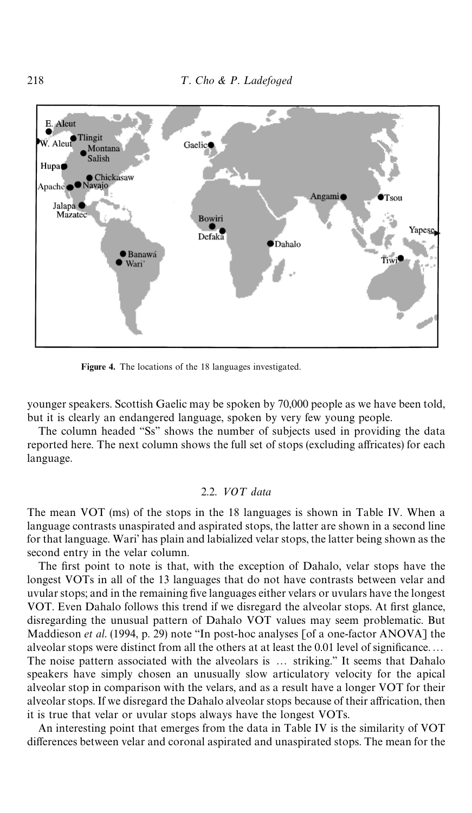<span id="page-11-0"></span>

Figure 4. The locations of the 18 languages investigated.

younger speakers. Scottish Gaelic may be spoken by 70,000 people as we have been told, but it is clearly an endangered language, spoken by very few young people.

The column headed "Ss" shows the number of subjects used in providing the data reported here. The next column shows the full set of stops (excluding affricates) for each language.

#### 2.2. *VOT* data

The mean VOT (ms) of the stops in the 18 languages is shown in [Table IV.](#page-12-0) When a language contrasts unaspirated and aspirated stops, the latter are shown in a second line for that language. Wari' has plain and labialized velar stops, the latter being shown as the second entry in the velar column.

The first point to note is that, with the exception of Dahalo, velar stops have the longest VOTs in all of the 13 languages that do not have contrasts between velar and uvular stops; and in the remaining five languages either velars or uvulars have the longest VOT. Even Dahalo follows this trend if we disregard the alveolar stops. At first glance, disregarding the unusual pattern of Dahalo VOT values may seem problematic. But [Maddieson](#page-22-0) *et al.* (1994, p. 29) note "In post-hoc analyses [of a one-factor ANOVA] the alveolar stops were distinct from all the others at at least the 0.01 level of significance.... The noise pattern associated with the alveolars is ... striking." It seems that Dahalo speakers have simply chosen an unusually slow articulatory velocity for the apical alveolar stop in comparison with the velars, and as a result have a longer VOT for their alveolar stops. If we disregard the Dahalo alveolar stops because of their affrication, then it is true that velar or uvular stops always have the longest VOTs.

An interesting point that emerges from the data in [Table IV](#page-12-0) is the similarity of VOT differences between velar and coronal aspirated and unaspirated stops. The mean for the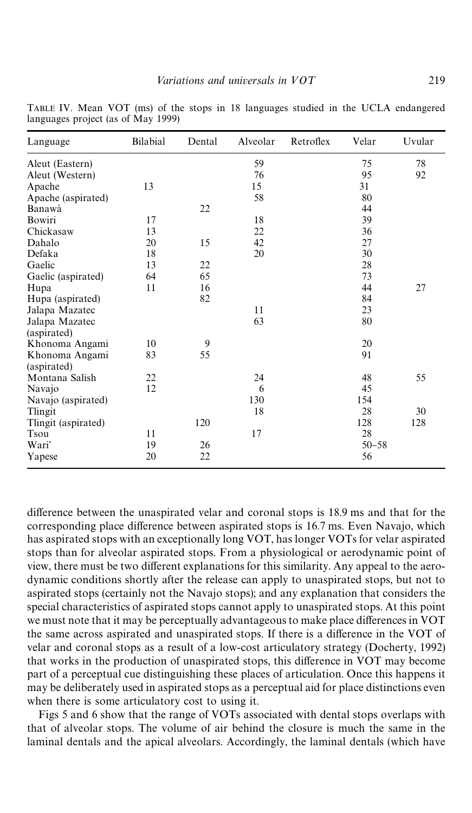| Language            | Bilabial | Dental | Alveolar | Retroflex | Velar     | Uvular |
|---------------------|----------|--------|----------|-----------|-----------|--------|
| Aleut (Eastern)     |          |        | 59       |           | 75        | 78     |
| Aleut (Western)     |          |        | 76       |           | 95        | 92     |
| Apache              | 13       |        | 15       |           | 31        |        |
| Apache (aspirated)  |          |        | 58       |           | 80        |        |
| Banawá              |          | 22     |          |           | 44        |        |
| Bowiri              | 17       |        | 18       |           | 39        |        |
| Chickasaw           | 13       |        | 22       |           | 36        |        |
| Dahalo              | 20       | 15     | 42       |           | 27        |        |
| Defaka              | 18       |        | 20       |           | 30        |        |
| Gaelic              | 13       | 22     |          |           | 28        |        |
| Gaelic (aspirated)  | 64       | 65     |          |           | 73        |        |
| Hupa                | 11       | 16     |          |           | 44        | 27     |
| Hupa (aspirated)    |          | 82     |          |           | 84        |        |
| Jalapa Mazatec      |          |        | 11       |           | 23        |        |
| Jalapa Mazatec      |          |        | 63       |           | 80        |        |
| (aspirated)         |          |        |          |           |           |        |
| Khonoma Angami      | 10       | 9      |          |           | 20        |        |
| Khonoma Angami      | 83       | 55     |          |           | 91        |        |
| (aspirated)         |          |        |          |           |           |        |
| Montana Salish      | 22       |        | 24       |           | 48        | 55     |
| Navajo              | 12       |        | 6        |           | 45        |        |
| Navajo (aspirated)  |          |        | 130      |           | 154       |        |
| Tlingit             |          |        | 18       |           | 28        | 30     |
| Tlingit (aspirated) |          | 120    |          |           | 128       | 128    |
| Tsou                | 11       |        | 17       |           | 28        |        |
| Wari'               | 19       | 26     |          |           | $50 - 58$ |        |
| Yapese              | 20       | 22     |          |           | 56        |        |
|                     |          |        |          |           |           |        |

<span id="page-12-0"></span>TABLE IV. Mean VOT (ms) of the stops in 18 languages studied in the UCLA endangered languages project (as of May 1999)

difference between the unaspirated velar and coronal stops is 18.9 ms and that for the corresponding place difference between aspirated stops is 16.7 ms. Even Navajo, which has aspirated stops with an exceptionally long VOT, has longer VOTs for velar aspirated stops than for alveolar aspirated stops. From a physiological or aerodynamic point of view, there must be two different explanations for this similarity. Any appeal to the aerodynamic conditions shortly after the release can apply to unaspirated stops, but not to aspirated stops (certainly not the Navajo stops); and any explanation that considers the special characteristics of aspirated stops cannot apply to unaspirated stops. At this point we must note that it may be perceptually advantageous to make place differences in VOT the same across aspirated and unaspirated stops. If there is a difference in the VOT of velar and coronal stops as a result of a low-cost articulatory strategy ([Docherty, 1992\)](#page-21-0) that works in the production of unaspirated stops, this difference in VOT may become part of a perceptual cue distinguishing these places of articulation. Once this happens it may be deliberately used in aspirated stops as a perceptual aid for place distinctions even when there is some articulatory cost to using it.

[Figs 5](#page-13-0) and [6 s](#page-13-0)how that the range of VOTs associated with dental stops overlaps with that of alveolar stops. The volume of air behind the closure is much the same in the laminal dentals and the apical alveolars. Accordingly, the laminal dentals (which have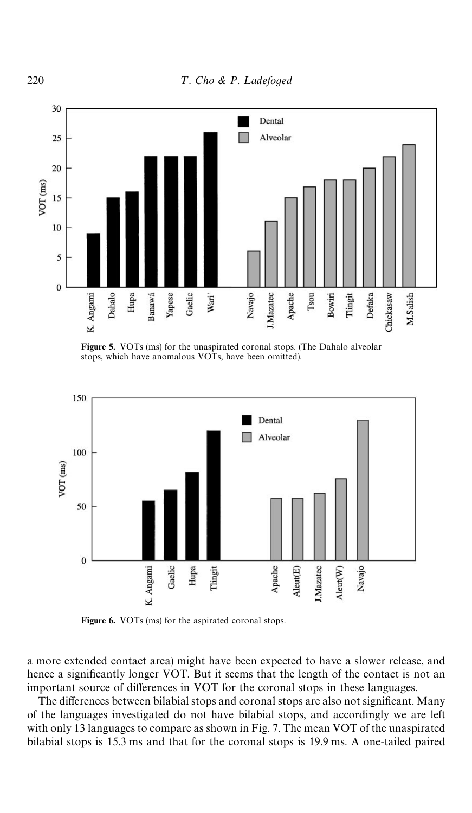<span id="page-13-0"></span>

Figure 5. VOTs (ms) for the unaspirated coronal stops. (The Dahalo alveolar stops, which have anomalous VOTs, have been omitted).



Figure 6. VOTs (ms) for the aspirated coronal stops.

a more extended contact area) might have been expected to have a slower release, and hence a significantly longer VOT. But it seems that the length of the contact is not an important source of differences in VOT for the coronal stops in these languages.

The differences between bilabial stops and coronal stops are also not significant. Many of the languages investigated do not have bilabial stops, and accordingly we are left with only 13 languages to compare as shown i[n Fig. 7.](#page-14-0) The mean VOT of the unaspirated bilabial stops is 15.3 ms and that for the coronal stops is 19.9 ms. A one-tailed paired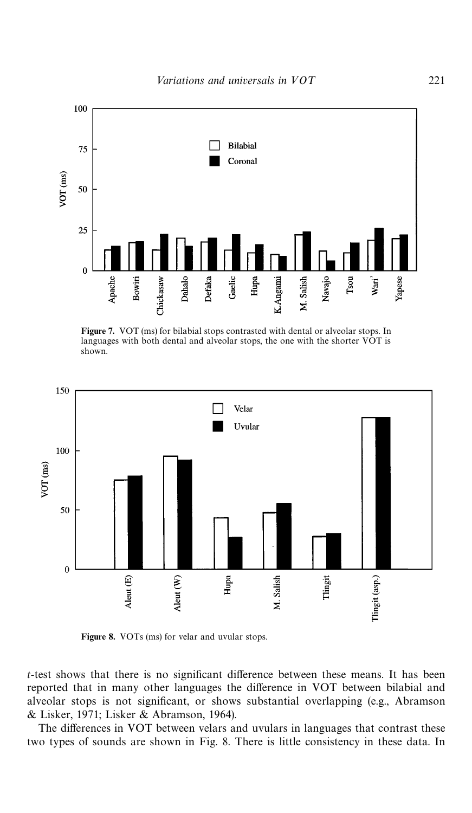<span id="page-14-0"></span>

Figure 7. VOT (ms) for bilabial stops contrasted with dental or alveolar stops. In languages with both dental and alveolar stops, the one with the shorter VOT is shown.



Figure 8. VOTs (ms) for velar and uvular stops.

 $t$ -test shows that there is no significant difference between these means. It has been reported that in many other languages the difference in VOT between bilabial and alveolar stops is not significant, or shows substantial overlapping (e.g., [Abramson](#page-20-0) [& Lisker, 1971](#page-20-0); [Lisker & Abramson, 1964\)](#page-21-0).

The differences in VOT between velars and uvulars in languages that contrast these two types of sounds are shown in Fig. 8. There is little consistency in these data. In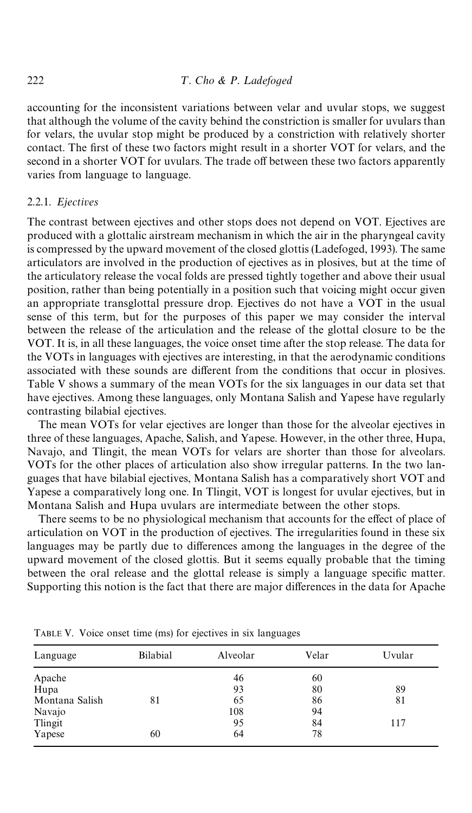accounting for the inconsistent variations between velar and uvular stops, we suggest that although the volume of the cavity behind the constriction is smaller for uvulars than for velars, the uvular stop might be produced by a constriction with relatively shorter contact. The first of these two factors might result in a shorter VOT for velars, and the second in a shorter VOT for uvulars. The trade off between these two factors apparently varies from language to language.

#### 2.2.1. *Ejectives*

The contrast between ejectives and other stops does not depend on VOT. Ejectives are produced with a glottalic airstream mechanism in which the air in the pharyngeal cavity is compressed by the upward movement of the closed glottis [\(Ladefoged, 1993\)](#page-21-0). The same articulators are involved in the production of ejectives as in plosives, but at the time of the articulatory release the vocal folds are pressed tightly together and above their usual position, rather than being potentially in a position such that voicing might occur given an appropriate transglottal pressure drop. Ejectives do not have a VOT in the usual sense of this term, but for the purposes of this paper we may consider the interval between the release of the articulation and the release of the glottal closure to be the VOT. It is, in all these languages, the voice onset time after the stop release. The data for the VOTs in languages with ejectives are interesting, in that the aerodynamic conditions associated with these sounds are different from the conditions that occur in plosives. Table V shows a summary of the mean VOTs for the six languages in our data set that have ejectives. Among these languages, only Montana Salish and Yapese have regularly contrasting bilabial ejectives.

The mean VOTs for velar ejectives are longer than those for the alveolar ejectives in three of these languages, Apache, Salish, and Yapese. However, in the other three, Hupa, Navajo, and Tlingit, the mean VOTs for velars are shorter than those for alveolars. VOTs for the other places of articulation also show irregular patterns. In the two languages that have bilabial ejectives, Montana Salish has a comparatively short VOT and Yapese a comparatively long one. In Tlingit, VOT is longest for uvular ejectives, but in Montana Salish and Hupa uvulars are intermediate between the other stops.

There seems to be no physiological mechanism that accounts for the effect of place of articulation on VOT in the production of ejectives. The irregularities found in these six languages may be partly due to differences among the languages in the degree of the upward movement of the closed glottis. But it seems equally probable that the timing between the oral release and the glottal release is simply a language specific matter. Supporting this notion is the fact that there are major differences in the data for Apache

| Language       | Bilabial | Alveolar | Velar | Uvular |
|----------------|----------|----------|-------|--------|
| Apache         |          | 46       | 60    |        |
| Hupa           |          | 93       | 80    | 89     |
| Montana Salish | 81       | 65       | 86    | 81     |
| Navajo         |          | 108      | 94    |        |
| Tlingit        |          | 95       | 84    | 117    |
| Yapese         | 60       | 64       | 78    |        |

TABLE V. Voice onset time (ms) for ejectives in six languages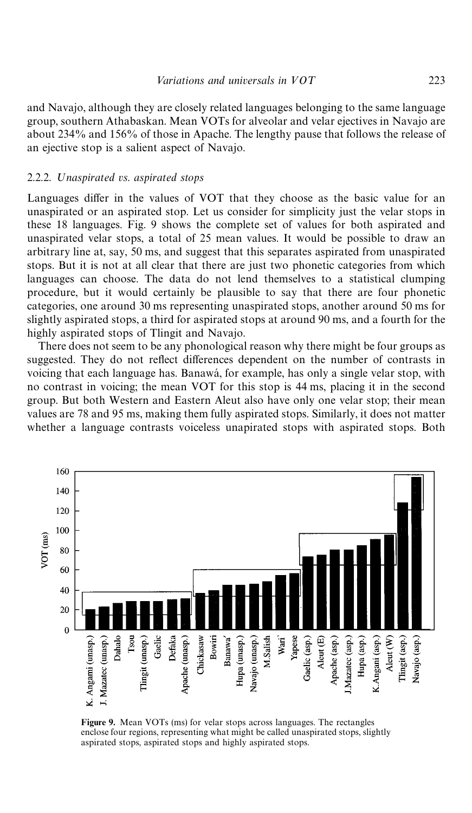<span id="page-16-0"></span>and Navajo, although they are closely related languages belonging to the same language group, southern Athabaskan. Mean VOTs for alveolar and velar ejectives in Navajo are about 234% and 156% of those in Apache. The lengthy pause that follows the release of an ejective stop is a salient aspect of Navajo.

#### 2.2.2. ;*naspirated vs*. *aspirated stops*

Languages differ in the values of VOT that they choose as the basic value for an unaspirated or an aspirated stop. Let us consider for simplicity just the velar stops in these 18 languages. Fig. 9 shows the complete set of values for both aspirated and unaspirated velar stops, a total of 25 mean values. It would be possible to draw an arbitrary line at, say, 50 ms, and suggest that this separates aspirated from unaspirated stops. But it is not at all clear that there are just two phonetic categories from which languages can choose. The data do not lend themselves to a statistical clumping procedure, but it would certainly be plausible to say that there are four phonetic categories, one around 30 ms representing unaspirated stops, another around 50 ms for slightly aspirated stops, a third for aspirated stops at around 90 ms, and a fourth for the highly aspirated stops of Tlingit and Navajo.

There does not seem to be any phonological reason why there might be four groups as suggested. They do not reflect differences dependent on the number of contrasts in voicing that each language has. Banawá, for example, has only a single velar stop, with no contrast in voicing; the mean VOT for this stop is 44 ms, placing it in the second group. But both Western and Eastern Aleut also have only one velar stop; their mean values are 78 and 95 ms, making them fully aspirated stops. Similarly, it does not matter whether a language contrasts voiceless unapirated stops with aspirated stops. Both



Figure 9. Mean VOTs (ms) for velar stops across languages. The rectangles enclose four regions, representing what might be called unaspirated stops, slightly aspirated stops, aspirated stops and highly aspirated stops.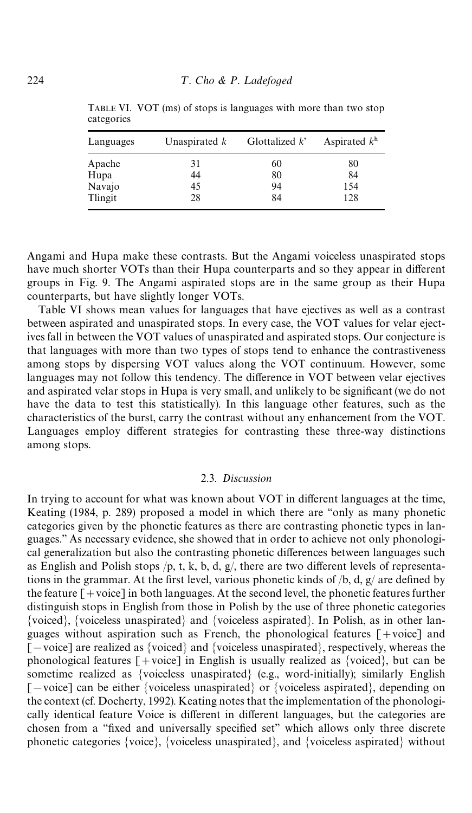| Languages      | Unaspirated $k$ | Glottalized $k^*$ | Aspirated $kh$ |
|----------------|-----------------|-------------------|----------------|
| Apache         | 31              | 60                | 80             |
| Hupa<br>Navajo | 44<br>45        | 80<br>94          | 84<br>154      |
| Tlingit        | 28              | 84                | 128            |

TABLE VI. VOT (ms) of stops is languages with more than two stop categories

Angami and Hupa make these contrasts. But the Angami voiceless unaspirated stops have much shorter VOTs than their Hupa counterparts and so they appear in different groups in [Fig. 9.](#page-16-0) The Angami aspirated stops are in the same group as their Hupa counterparts, but have slightly longer VOTs.

Table VI shows mean values for languages that have ejectives as well as a contrast between aspirated and unaspirated stops. In every case, the VOT values for velar ejectives fall in between the VOT values of unaspirated and aspirated stops. Our conjecture is that languages with more than two types of stops tend to enhance the contrastiveness among stops by dispersing VOT values along the VOT continuum. However, some languages may not follow this tendency. The difference in VOT between velar ejectives and aspirated velar stops in Hupa is very small, and unlikely to be significant (we do not have the data to test this statistically). In this language other features, such as the characteristics of the burst, carry the contrast without any enhancement from the VOT. Languages employ different strategies for contrasting these three-way distinctions among stops.

#### 2.3. *Discussion*

In trying to account for what was known about VOT in different languages at the time, [Keating \(1984,](#page-21-0) p. 289) proposed a model in which there are "only as many phonetic categories given by the phonetic features as there are contrasting phonetic types in languages.'' As necessary evidence, she showed that in order to achieve not only phonological generalization but also the contrasting phonetic differences between languages such as English and Polish stops  $/p$ , t, k, b, d, g, there are two different levels of representations in the grammar. At the first level, various phonetic kinds of  $/b$ , d, g/ are defined by the feature  $\lceil + \text{voice} \rceil$  in both languages. At the second level, the phonetic features further distinguish stops in English from those in Polish by the use of three phonetic categories {voiced}, {voiceless unaspirated} and {voiceless aspirated}. In Polish, as in other languages without aspiration such as French, the phonological features  $\lceil + \text{voice} \rceil$  and  $[-\text{voice}]$  are realized as {voiced} and {voiceless unaspirated}, respectively, whereas the phonological features  $[+$ voice] in English is usually realized as {voiced}, but can be sometime realized as {voiceless unaspirated} (e.g., word-initially); similarly English  $[-\text{voice}]$  can be either {voiceless unaspirated} or {voiceless aspirated}, depending on the context (cf. [Docherty, 1992\)](#page-21-0). Keating notes that the implementation of the phonologically identical feature Voice is different in different languages, but the categories are chosen from a "fixed and universally specified set" which allows only three discrete phonetic categories {voice}, {voiceless unaspirated}, and {voiceless aspirated} without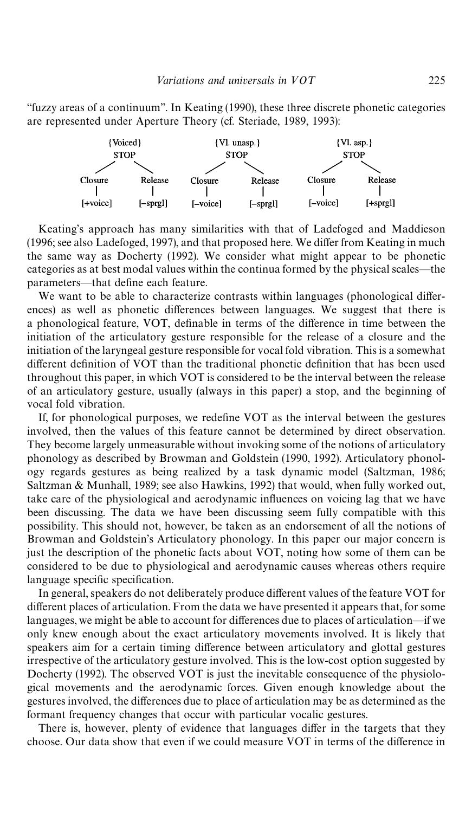&&fuzzy areas of a continuum''. In [Keating \(1990\)](#page-21-0), these three discrete phonetic categories are represented under Aperture Theory (cf. [Steriade, 1989, 1993\)](#page-22-0):



Keating's approach has many similarities with that of [Ladefoged and Maddieson](#page-21-0)  $(1996; \text{see also Ladefoged}, 1997)$  $(1996; \text{see also Ladefoged}, 1997)$ , and that proposed here. We differ from Keating in much the same way as [Docherty \(1992\).](#page-21-0) We consider what might appear to be phonetic categories as at best modal values within the continua formed by the physical scales—the parameters—that define each feature.

We want to be able to characterize contrasts within languages (phonological differences) as well as phonetic differences between languages. We suggest that there is a phonological feature, VOT, definable in terms of the difference in time between the initiation of the articulatory gesture responsible for the release of a closure and the initiation of the laryngeal gesture responsible for vocal fold vibration. This is a somewhat different definition of VOT than the traditional phonetic definition that has been used throughout this paper, in which VOT is considered to be the interval between the release of an articulatory gesture, usually (always in this paper) a stop, and the beginning of vocal fold vibration.

If, for phonological purposes, we redefine VOT as the interval between the gestures involved, then the values of this feature cannot be determined by direct observation. They become largely unmeasurable without invoking some of the notions of articulatory phonology as described by [Browman and Goldstein \(1990, 1992\).](#page-21-0) Articulatory phonology regards gestures as being realized by a task dynamic model [\(Saltzman, 1986;](#page-22-0) [Saltzman & Munhall, 1989;](#page-22-0) see also [Hawkins, 1992\)](#page-21-0) that would, when fully worked out, take care of the physiological and aerodynamic influences on voicing lag that we have been discussing. The data we have been discussing seem fully compatible with this possibility. This should not, however, be taken as an endorsement of all the notions of Browman and Goldstein's Articulatory phonology. In this paper our major concern is just the description of the phonetic facts about VOT, noting how some of them can be considered to be due to physiological and aerodynamic causes whereas others require language specific specification.

In general, speakers do not deliberately produce different values of the feature VOT for different places of articulation. From the data we have presented it appears that, for some languages, we might be able to account for differences due to places of articulation—if we only knew enough about the exact articulatory movements involved. It is likely that speakers aim for a certain timing difference between articulatory and glottal gestures irrespective of the articulatory gesture involved. This is the low-cost option suggested by [Docherty \(1992\).](#page-21-0) The observed VOT is just the inevitable consequence of the physiological movements and the aerodynamic forces. Given enough knowledge about the gestures involved, the differences due to place of articulation may be as determined as the formant frequency changes that occur with particular vocalic gestures.

There is, however, plenty of evidence that languages differ in the targets that they choose. Our data show that even if we could measure VOT in terms of the difference in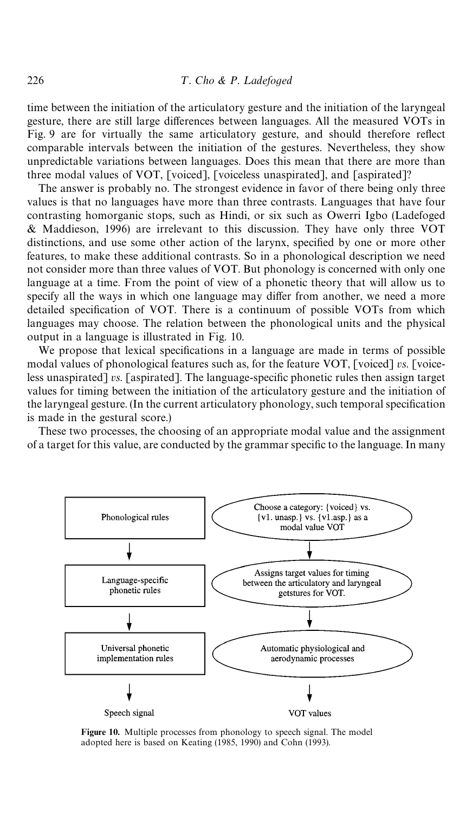time between the initiation of the articulatory gesture and the initiation of the laryngeal gesture, there are still large differences between languages. All the measured VOTs in [Fig. 9](#page-16-0) are for virtually the same articulatory gesture, and should therefore reflect comparable intervals between the initiation of the gestures. Nevertheless, they show unpredictable variations between languages. Does this mean that there are more than three modal values of VOT, [voiced], [voiceless unaspirated], and [aspirated]?

The answer is probably no. The strongest evidence in favor of there being only three values is that no languages have more than three contrasts. Languages that have four contrasting homorganic stops, such as Hindi, or six such as Owerri Igbo [\(Ladefoged](#page-21-0) [& Maddieson, 1996\)](#page-21-0) are irrelevant to this discussion. They have only three VOT distinctions, and use some other action of the larynx, specified by one or more other features, to make these additional contrasts. So in a phonological description we need not consider more than three values of VOT. But phonology is concerned with only one language at a time. From the point of view of a phonetic theory that will allow us to specify all the ways in which one language may differ from another, we need a more detailed specification of VOT. There is a continuum of possible VOTs from which languages may choose. The relation between the phonological units and the physical output in a language is illustrated in Fig. 10.

We propose that lexical specifications in a language are made in terms of possible modal values of phonological features such as, for the feature VOT, [voiced] *vs*. [voiceless unaspirated] *vs*. [aspirated]. The language-specific phonetic rules then assign target values for timing between the initiation of the articulatory gesture and the initiation of the laryngeal gesture. (In the current articulatory phonology, such temporal specification is made in the gestural score.)

These two processes, the choosing of an appropriate modal value and the assignment of a target for this value, are conducted by the grammar specific to the language. In many



Figure 10. Multiple processes from phonology to speech signal. The model adopted here is based on [Keating \(1985, 1990\)](#page-21-0) and [Cohn \(1993\)](#page-21-0).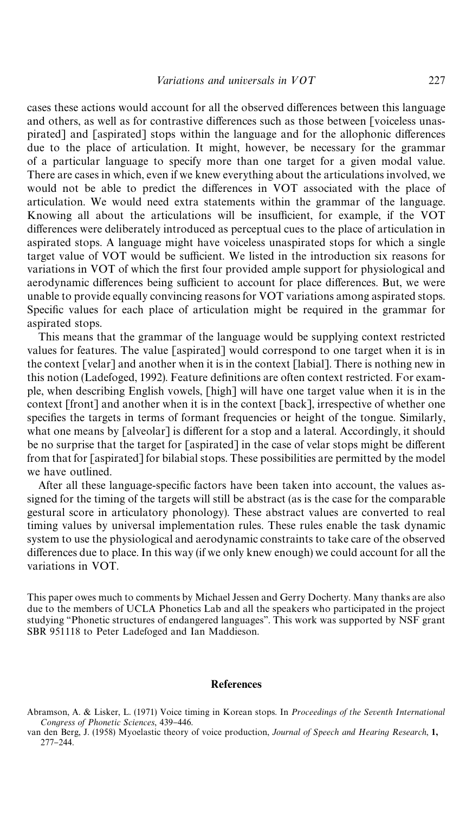<span id="page-20-0"></span>cases these actions would account for all the observed differences between this language and others, as well as for contrastive differences such as those between [voiceless unaspirated] and [aspirated] stops within the language and for the allophonic differences due to the place of articulation. It might, however, be necessary for the grammar of a particular language to specify more than one target for a given modal value. There are cases in which, even if we knew everything about the articulations involved, we would not be able to predict the differences in VOT associated with the place of articulation. We would need extra statements within the grammar of the language. Knowing all about the articulations will be insufficient, for example, if the VOT differences were deliberately introduced as perceptual cues to the place of articulation in aspirated stops. A language might have voiceless unaspirated stops for which a single target value of VOT would be sufficient. We listed in the introduction six reasons for variations in VOT of which the first four provided ample support for physiological and aerodynamic differences being sufficient to account for place differences. But, we were unable to provide equally convincing reasons for VOT variations among aspirated stops. Specific values for each place of articulation might be required in the grammar for aspirated stops.

This means that the grammar of the language would be supplying context restricted values for features. The value [aspirated] would correspond to one target when it is in the context [velar] and another when it is in the context [labial]. There is nothing new in this notion [\(Ladefoged, 1992\).](#page-21-0) Feature definitions are often context restricted. For example, when describing English vowels, [high] will have one target value when it is in the context [front] and another when it is in the context [back], irrespective of whether one specifies the targets in terms of formant frequencies or height of the tongue. Similarly, what one means by [alveolar] is different for a stop and a lateral. Accordingly, it should be no surprise that the target for  $\lceil$  aspirated $\rceil$  in the case of velar stops might be different from that for [aspirated] for bilabial stops. These possibilities are permitted by the model we have outlined.

After all these language-specific factors have been taken into account, the values assigned for the timing of the targets will still be abstract (as is the case for the comparable gestural score in articulatory phonology). These abstract values are converted to real timing values by universal implementation rules. These rules enable the task dynamic system to use the physiological and aerodynamic constraints to take care of the observed differences due to place. In this way (if we only knew enough) we could account for all the variations in VOT.

This paper owes much to comments by Michael Jessen and Gerry Docherty. Many thanks are also due to the members of UCLA Phonetics Lab and all the speakers who participated in the project studying "Phonetic structures of endangered languages". This work was supported by NSF grant SBR 951118 to Peter Ladefoged and Ian Maddieson.

#### References

Abramson, A. & Lisker, L. (1971) Voice timing in Korean stops. In *Proceedings of the Seventh International Congress of Phonetic Sciences*, 439-446.

van den Berg, J. (1958) Myoelastic theory of voice production, *Journal of Speech and Hearing Research*, 1, 277-244.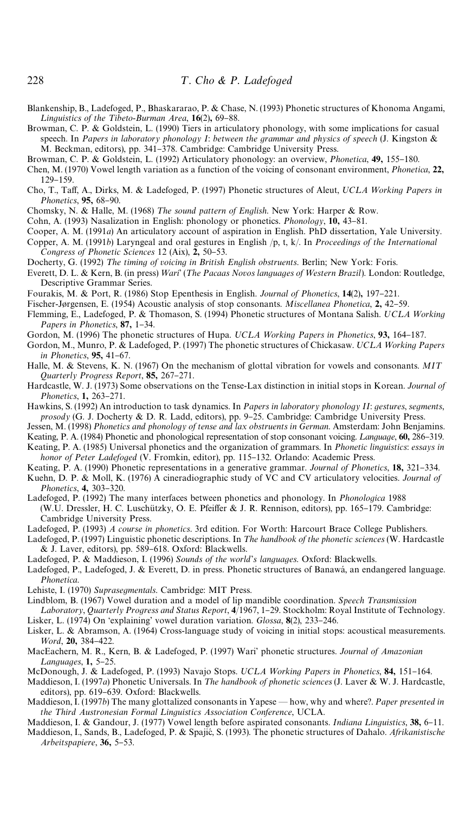<span id="page-21-0"></span>Blankenship, B., Ladefoged, P., Bhaskararao, P. & Chase, N. (1993) Phonetic structures of Khonoma Angami, *Linguistics of the Tibeto-Burman Area*, 16(2), 69-88.

Browman, C. P. & Goldstein, L. (1990) Tiers in articulatory phonology, with some implications for casual speech. In *Papers in laboratory phonology I*: *between the grammar and physics of speech* (J. Kingston & M. Beckman, editors), pp. 341–378. Cambridge: Cambridge University Press.

- Browman, C. P. & Goldstein, L. (1992) Articulatory phonology: an overview, *Phonetica*, **49**, 155-180.
- Chen, M. (1970) Vowel length variation as a function of the voicing of consonant environment, *Phonetica*, 22, 129-159.
- Cho, T., Taff, A., Dirks, M. & Ladefoged, P. (1997) Phonetic structures of Aleut, *UCLA Working Papers in Phonetics*, 95, 68-90.

Chomsky, N. & Halle, M. (1968) The sound pattern of English. New York: Harper & Row.

Cohn, A. (1993) Nasalization in English: phonology or phonetics. *Phonology*, 10, 43-81.

- Cooper, A. M. (1991*a*) An articulatory account of aspiration in English. PhD dissertation, Yale University.
- Copper, A. M. (1991*b*) Laryngeal and oral gestures in English /p, t, k/. In *Proceedings of the International* Congress of Phonetic Sciences 12 (Aix), 2, 50-53.
- Docherty, G. (1992) The timing of voicing in British English obstruents. Berlin; New York: Foris.
- Everett, D. L. & Kern, B. (in press) Wari' (The Pacaas Novos languages of Western Brazil). London: Routledge, Descriptive Grammar Series.
- Fourakis, M. & Port, R. (1986) Stop Epenthesis in English. *Journal of Phonetics*, 14(2), 197-221.

Fischer-Jørgensen, E. (1954) Acoustic analysis of stop consonants. *Miscellanea Phonetica*, 2, 42–59.

- Flemming, E., Ladefoged, P. & Thomason, S. (1994) Phonetic structures of Montana Salish. *UCLA Working Papers in Phonetics*, 87, 1-34.
- Gordon, M. (1996) The phonetic structures of Hupa. *UCLA Working Papers in Phonetics*, 93, 164–187.
- Gordon, M., Munro, P. & Ladefoged, P. (1997) The phonetic structures of Chickasaw. *UCLA Working Papers in Phonetics*, 95, 41-67.
- Halle, M. & Stevens, K. N. (1967) On the mechanism of glottal vibration for vowels and consonants. *MIT Quarterly Progress Report*, 85, 267-271.
- Hardcastle, W. J. (1973) Some observations on the Tense-Lax distinction in initial stops in Korean. *Journal of Phonetics*, 1, 263-271.
- Hawkins, S. (1992) An introduction to task dynamics. In *Papers in laboratory phonology II*: *gestures*, *segments*, prosody (G. J. Docherty & D. R. Ladd, editors), pp. 9-25. Cambridge: Cambridge University Press.
- Jessen, M. (1998) *Phonetics and phonology of tense and lax obstruents in German*. Amsterdam: John Benjamins.
- Keating, P. A. (1984) Phonetic and phonological representation of stop consonant voicing. *Language*, 60, 286-319. Keating, P. A. (1985) Universal phonetics and the organization of grammars. In *Phonetic linguistics*: *essays in*
- *honor of Peter Ladefoged* (V. Fromkin, editor), pp. 115–132. Orlando: Academic Press.
- Keating, P. A. (1990) Phonetic representations in a generative grammar. *Journal of Phonetics*, 18, 321–334.
- Kuehn, D. P. & Moll, K. (1976) A cineradiographic study of VC and CV articulatory velocities. *Journal of Phonetics*, 4, 303-320.
- Ladefoged, P. (1992) The many interfaces between phonetics and phonology. In *Phonologica* 1988 (W.U. Dressler, H. C. Luschützky, O. E. Pfeiffer & J. R. Rennison, editors), pp. 165-179. Cambridge: Cambridge University Press.
- Ladefoged, P. (1993) *A course in phonetics*. 3rd edition. For Worth: Harcourt Brace College Publishers.
- Ladefoged, P. (1997) Linguistic phonetic descriptions. In *The handbook of the phonetic sciences* (W. Hardcastle & J. Laver, editors), pp. 589-618. Oxford: Blackwells.
- Ladefoged, P. & Maddieson, I. (1996) Sounds of the world's languages. Oxford: Blackwells.
- Ladefoged, P., Ladefoged, J. & Everett, D. in press. Phonetic structures of Banawá, an endangered language. *Phonetica*.
- Lehiste, I. (1970) *Suprasegmentals*. Cambridge: MIT Press.
- Lindblom, B. (1967) Vowel duration and a model of lip mandible coordination. *Speech Transmission*
- Laboratory, Quarterly Progress and Status Report, 4/1967, 1-29. Stockholm: Royal Institute of Technology. Lisker, L. (1974) On 'explaining' vowel duration variation. *Glossa*, 8(2), 233-246.
- Lisker, L. & Abramson, A. (1964) Cross-language study of voicing in initial stops: acoustical measurements. *Word*, 20, 384-422.
- MacEachern, M. R., Kern, B. & Ladefoged, P. (1997) Wari' phonetic structures. *Journal of Amazonian* Languages, 1, 5-25.
- McDonough, J. & Ladefoged, P. (1993) Navajo Stops. *UCLA Working Papers in Phonetics*, 84, 151-164.
- Maddieson, I. (1997*a*) Phonetic Universals. In *The handbook of phonetic sciences* (J. Laver & W. J. Hardcastle, editors), pp. 619-639. Oxford: Blackwells.
- Maddieson, I. (1997*b*) The many glottalized consonants in Yapese how, why and where?. *Paper presented in the Third Austronesian Formal Linguistics Association Conference*, UCLA.
- Maddieson, I. & Gandour, J. (1977) Vowel length before aspirated consonants. *Indiana Linguistics*, 38, 6-11. Maddieson, I., Sands, B., Ladefoged, P. & Spajić, S. (1993). The phonetic structures of Dahalo. *Afrikanistische Arbeitspapiere*, 36, 5-53.